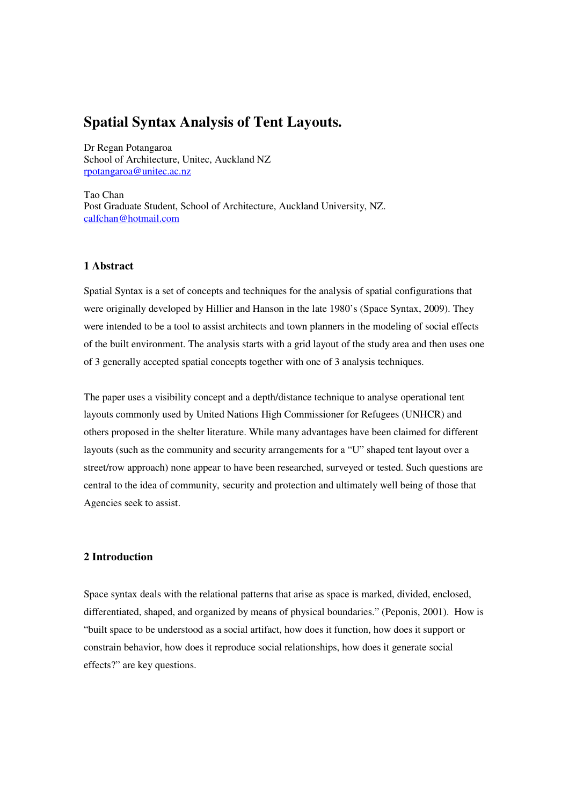# **Spatial Syntax Analysis of Tent Layouts.**

Dr Regan Potangaroa School of Architecture, Unitec, Auckland NZ rpotangaroa@unitec.ac.nz

Tao Chan Post Graduate Student, School of Architecture, Auckland University, NZ. calfchan@hotmail.com

#### **1 Abstract**

Spatial Syntax is a set of concepts and techniques for the analysis of spatial configurations that were originally developed by Hillier and Hanson in the late 1980's (Space Syntax, 2009). They were intended to be a tool to assist architects and town planners in the modeling of social effects of the built environment. The analysis starts with a grid layout of the study area and then uses one of 3 generally accepted spatial concepts together with one of 3 analysis techniques.

The paper uses a visibility concept and a depth/distance technique to analyse operational tent layouts commonly used by United Nations High Commissioner for Refugees (UNHCR) and others proposed in the shelter literature. While many advantages have been claimed for different layouts (such as the community and security arrangements for a "U" shaped tent layout over a street/row approach) none appear to have been researched, surveyed or tested. Such questions are central to the idea of community, security and protection and ultimately well being of those that Agencies seek to assist.

# **2 Introduction**

Space syntax deals with the relational patterns that arise as space is marked, divided, enclosed, differentiated, shaped, and organized by means of physical boundaries." (Peponis, 2001). How is "built space to be understood as a social artifact, how does it function, how does it support or constrain behavior, how does it reproduce social relationships, how does it generate social effects?" are key questions.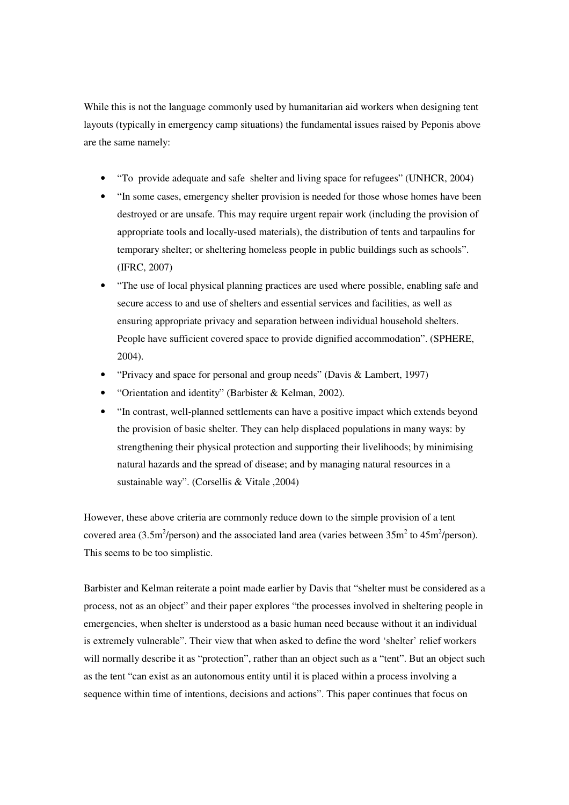While this is not the language commonly used by humanitarian aid workers when designing tent layouts (typically in emergency camp situations) the fundamental issues raised by Peponis above are the same namely:

- "To provide adequate and safe shelter and living space for refugees" (UNHCR, 2004)
- "In some cases, emergency shelter provision is needed for those whose homes have been destroyed or are unsafe. This may require urgent repair work (including the provision of appropriate tools and locally-used materials), the distribution of tents and tarpaulins for temporary shelter; or sheltering homeless people in public buildings such as schools". (IFRC, 2007)
- "The use of local physical planning practices are used where possible, enabling safe and secure access to and use of shelters and essential services and facilities, as well as ensuring appropriate privacy and separation between individual household shelters. People have sufficient covered space to provide dignified accommodation". (SPHERE, 2004).
- "Privacy and space for personal and group needs" (Davis & Lambert, 1997)
- "Orientation and identity" (Barbister & Kelman, 2002).
- "In contrast, well-planned settlements can have a positive impact which extends beyond the provision of basic shelter. They can help displaced populations in many ways: by strengthening their physical protection and supporting their livelihoods; by minimising natural hazards and the spread of disease; and by managing natural resources in a sustainable way". (Corsellis & Vitale ,2004)

However, these above criteria are commonly reduce down to the simple provision of a tent covered area (3.5m<sup>2</sup>/person) and the associated land area (varies between  $35m^2$  to  $45m^2$ /person). This seems to be too simplistic.

Barbister and Kelman reiterate a point made earlier by Davis that "shelter must be considered as a process, not as an object" and their paper explores "the processes involved in sheltering people in emergencies, when shelter is understood as a basic human need because without it an individual is extremely vulnerable". Their view that when asked to define the word 'shelter' relief workers will normally describe it as "protection", rather than an object such as a "tent". But an object such as the tent "can exist as an autonomous entity until it is placed within a process involving a sequence within time of intentions, decisions and actions". This paper continues that focus on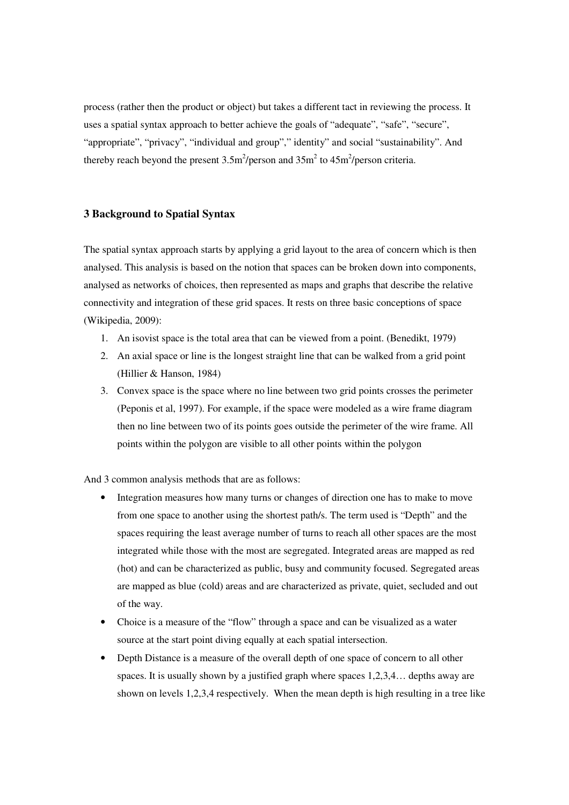process (rather then the product or object) but takes a different tact in reviewing the process. It uses a spatial syntax approach to better achieve the goals of "adequate", "safe", "secure", "appropriate", "privacy", "individual and group"," identity" and social "sustainability". And thereby reach beyond the present  $3.5 \text{m}^2/\text{person}$  and  $35 \text{m}^2$  to  $45 \text{m}^2/\text{person}$  criteria.

#### **3 Background to Spatial Syntax**

The spatial syntax approach starts by applying a grid layout to the area of concern which is then analysed. This analysis is based on the notion that spaces can be broken down into components, analysed as networks of choices, then represented as maps and graphs that describe the relative connectivity and integration of these grid spaces. It rests on three basic conceptions of space (Wikipedia, 2009):

- 1. An isovist space is the total area that can be viewed from a point. (Benedikt, 1979)
- 2. An axial space or line is the longest straight line that can be walked from a grid point (Hillier & Hanson, 1984)
- 3. Convex space is the space where no line between two grid points crosses the perimeter (Peponis et al, 1997). For example, if the space were modeled as a wire frame diagram then no line between two of its points goes outside the perimeter of the wire frame. All points within the polygon are visible to all other points within the polygon

And 3 common analysis methods that are as follows:

- Integration measures how many turns or changes of direction one has to make to move from one space to another using the shortest path/s. The term used is "Depth" and the spaces requiring the least average number of turns to reach all other spaces are the most integrated while those with the most are segregated. Integrated areas are mapped as red (hot) and can be characterized as public, busy and community focused. Segregated areas are mapped as blue (cold) areas and are characterized as private, quiet, secluded and out of the way.
- Choice is a measure of the "flow" through a space and can be visualized as a water source at the start point diving equally at each spatial intersection.
- Depth Distance is a measure of the overall depth of one space of concern to all other spaces. It is usually shown by a justified graph where spaces 1,2,3,4… depths away are shown on levels 1,2,3,4 respectively. When the mean depth is high resulting in a tree like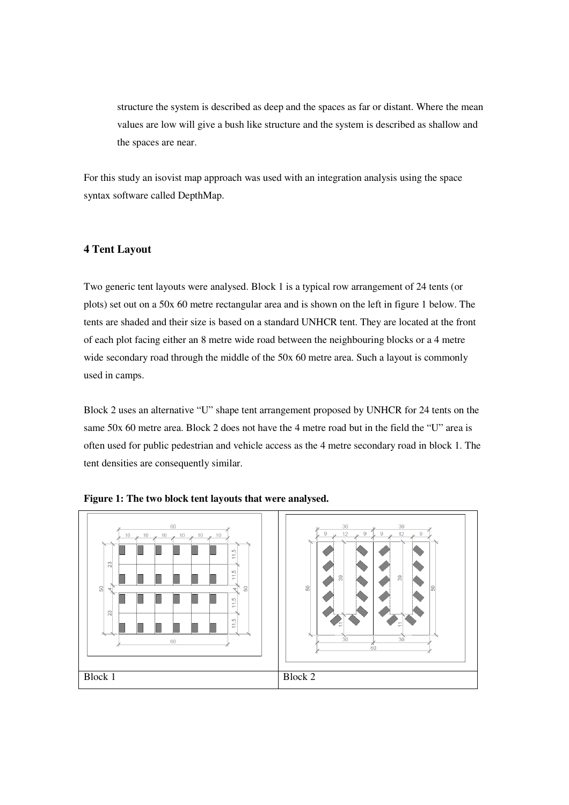structure the system is described as deep and the spaces as far or distant. Where the mean values are low will give a bush like structure and the system is described as shallow and the spaces are near.

For this study an isovist map approach was used with an integration analysis using the space syntax software called DepthMap.

# **4 Tent Layout**

Two generic tent layouts were analysed. Block 1 is a typical row arrangement of 24 tents (or plots) set out on a 50x 60 metre rectangular area and is shown on the left in figure 1 below. The tents are shaded and their size is based on a standard UNHCR tent. They are located at the front of each plot facing either an 8 metre wide road between the neighbouring blocks or a 4 metre wide secondary road through the middle of the 50x 60 metre area. Such a layout is commonly used in camps.

Block 2 uses an alternative "U" shape tent arrangement proposed by UNHCR for 24 tents on the same 50x 60 metre area. Block 2 does not have the 4 metre road but in the field the "U" area is often used for public pedestrian and vehicle access as the 4 metre secondary road in block 1. The tent densities are consequently similar.



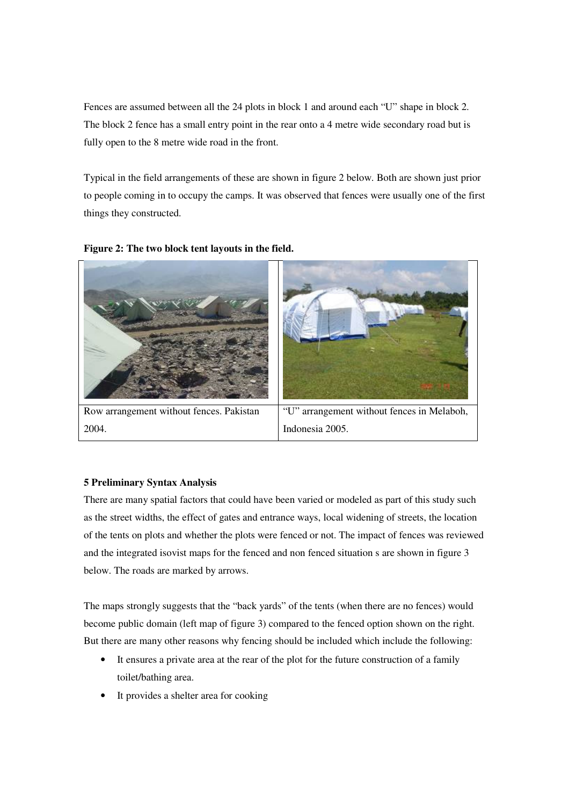Fences are assumed between all the 24 plots in block 1 and around each "U" shape in block 2. The block 2 fence has a small entry point in the rear onto a 4 metre wide secondary road but is fully open to the 8 metre wide road in the front.

Typical in the field arrangements of these are shown in figure 2 below. Both are shown just prior to people coming in to occupy the camps. It was observed that fences were usually one of the first things they constructed.



**Figure 2: The two block tent layouts in the field.** 

# **5 Preliminary Syntax Analysis**

There are many spatial factors that could have been varied or modeled as part of this study such as the street widths, the effect of gates and entrance ways, local widening of streets, the location of the tents on plots and whether the plots were fenced or not. The impact of fences was reviewed and the integrated isovist maps for the fenced and non fenced situation s are shown in figure 3 below. The roads are marked by arrows.

The maps strongly suggests that the "back yards" of the tents (when there are no fences) would become public domain (left map of figure 3) compared to the fenced option shown on the right. But there are many other reasons why fencing should be included which include the following:

- It ensures a private area at the rear of the plot for the future construction of a family toilet/bathing area.
- It provides a shelter area for cooking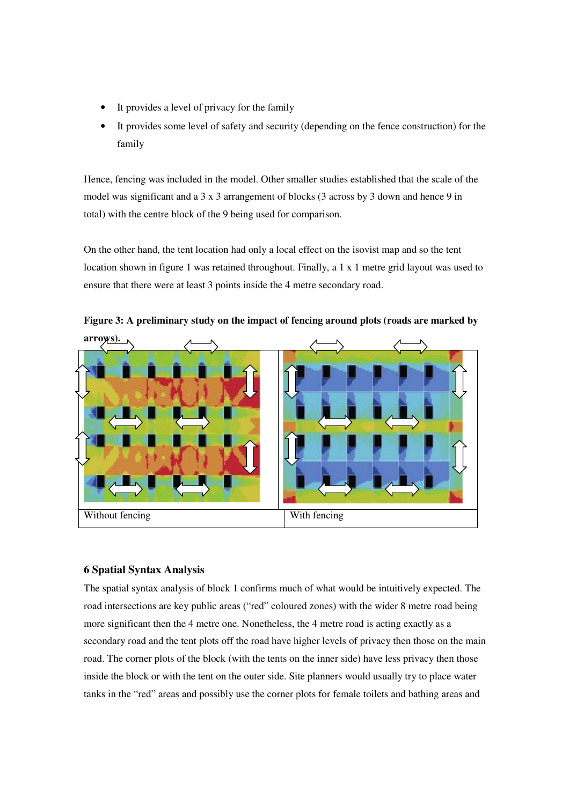- It provides a level of privacy for the family
- It provides some level of safety and security (depending on the fence construction) for the family

Hence, fencing was included in the model. Other smaller studies established that the scale of the model was significant and a 3 x 3 arrangement of blocks (3 across by 3 down and hence 9 in total) with the centre block of the 9 being used for comparison.

On the other hand, the tent location had only a local effect on the isovist map and so the tent location shown in figure 1 was retained throughout. Finally, a 1 x 1 metre grid layout was used to ensure that there were at least 3 points inside the 4 metre secondary road.



**Figure 3: A preliminary study on the impact of fencing around plots (roads are marked by** 

# **6 Spatial Syntax Analysis**

The spatial syntax analysis of block 1 confirms much of what would be intuitively expected. The road intersections are key public areas ("red" coloured zones) with the wider 8 metre road being more significant then the 4 metre one. Nonetheless, the 4 metre road is acting exactly as a secondary road and the tent plots off the road have higher levels of privacy then those on the main road. The corner plots of the block (with the tents on the inner side) have less privacy then those inside the block or with the tent on the outer side. Site planners would usually try to place water tanks in the "red" areas and possibly use the corner plots for female toilets and bathing areas and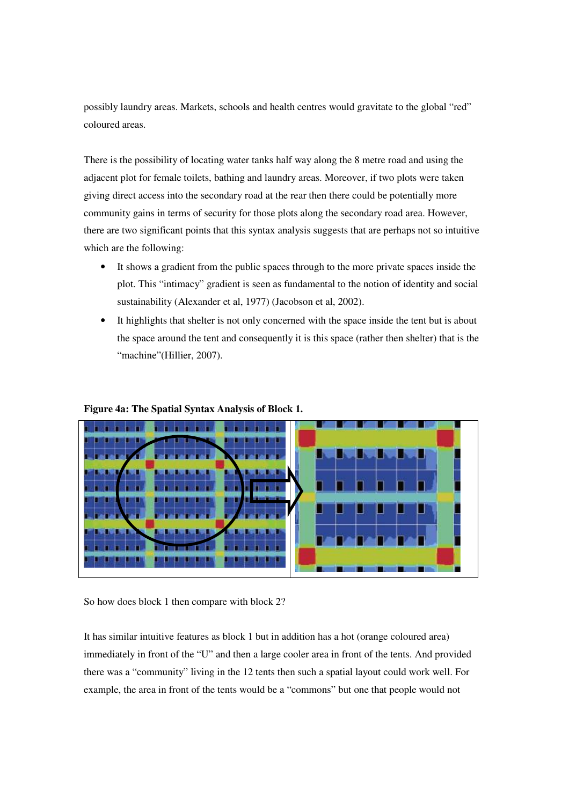possibly laundry areas. Markets, schools and health centres would gravitate to the global "red" coloured areas.

There is the possibility of locating water tanks half way along the 8 metre road and using the adjacent plot for female toilets, bathing and laundry areas. Moreover, if two plots were taken giving direct access into the secondary road at the rear then there could be potentially more community gains in terms of security for those plots along the secondary road area. However, there are two significant points that this syntax analysis suggests that are perhaps not so intuitive which are the following:

- It shows a gradient from the public spaces through to the more private spaces inside the plot. This "intimacy" gradient is seen as fundamental to the notion of identity and social sustainability (Alexander et al, 1977) (Jacobson et al, 2002).
- It highlights that shelter is not only concerned with the space inside the tent but is about the space around the tent and consequently it is this space (rather then shelter) that is the "machine"(Hillier, 2007).



# **Figure 4a: The Spatial Syntax Analysis of Block 1.**

So how does block 1 then compare with block 2?

It has similar intuitive features as block 1 but in addition has a hot (orange coloured area) immediately in front of the "U" and then a large cooler area in front of the tents. And provided there was a "community" living in the 12 tents then such a spatial layout could work well. For example, the area in front of the tents would be a "commons" but one that people would not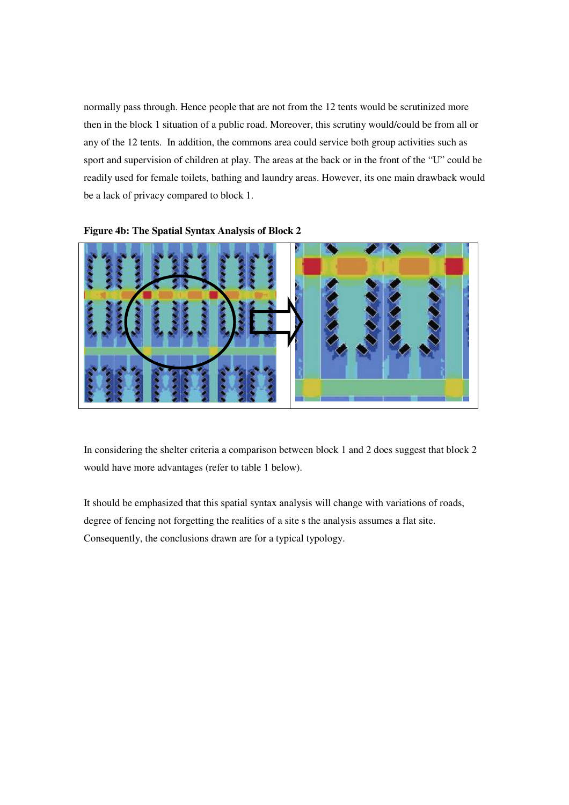normally pass through. Hence people that are not from the 12 tents would be scrutinized more then in the block 1 situation of a public road. Moreover, this scrutiny would/could be from all or any of the 12 tents. In addition, the commons area could service both group activities such as sport and supervision of children at play. The areas at the back or in the front of the "U" could be readily used for female toilets, bathing and laundry areas. However, its one main drawback would be a lack of privacy compared to block 1.





In considering the shelter criteria a comparison between block 1 and 2 does suggest that block 2 would have more advantages (refer to table 1 below).

It should be emphasized that this spatial syntax analysis will change with variations of roads, degree of fencing not forgetting the realities of a site s the analysis assumes a flat site. Consequently, the conclusions drawn are for a typical typology.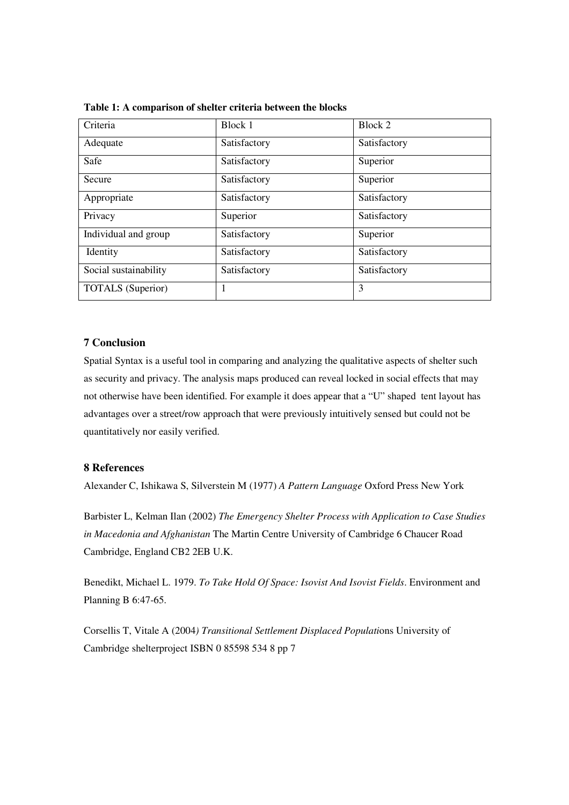| Criteria                 | Block 1      | Block 2      |
|--------------------------|--------------|--------------|
| Adequate                 | Satisfactory | Satisfactory |
| Safe                     | Satisfactory | Superior     |
| Secure                   | Satisfactory | Superior     |
| Appropriate              | Satisfactory | Satisfactory |
| Privacy                  | Superior     | Satisfactory |
| Individual and group     | Satisfactory | Superior     |
| Identity                 | Satisfactory | Satisfactory |
| Social sustainability    | Satisfactory | Satisfactory |
| <b>TOTALS</b> (Superior) | 1            | 3            |

**Table 1: A comparison of shelter criteria between the blocks** 

# **7 Conclusion**

Spatial Syntax is a useful tool in comparing and analyzing the qualitative aspects of shelter such as security and privacy. The analysis maps produced can reveal locked in social effects that may not otherwise have been identified. For example it does appear that a "U" shaped tent layout has advantages over a street/row approach that were previously intuitively sensed but could not be quantitatively nor easily verified.

# **8 References**

Alexander C, Ishikawa S, Silverstein M (1977) *A Pattern Language* Oxford Press New York

Barbister L, Kelman Ilan (2002) *The Emergency Shelter Process with Application to Case Studies in Macedonia and Afghanistan* The Martin Centre University of Cambridge 6 Chaucer Road Cambridge, England CB2 2EB U.K.

Benedikt, Michael L. 1979. *To Take Hold Of Space: Isovist And Isovist Fields*. Environment and Planning B 6:47-65.

Corsellis T, Vitale A (2004*) Transitional Settlement Displaced Populati*ons University of Cambridge shelterproject ISBN 0 85598 534 8 pp 7